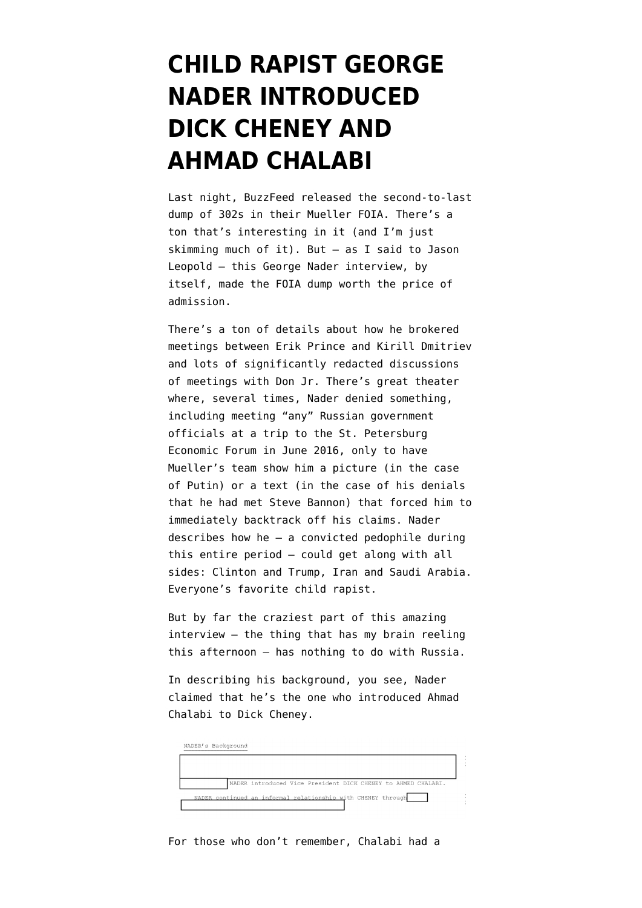## **[CHILD RAPIST GEORGE](https://www.emptywheel.net/2020/10/31/child-rapist-george-nader-introduced-dick-cheney-and-ahmad-chalabi/) [NADER INTRODUCED](https://www.emptywheel.net/2020/10/31/child-rapist-george-nader-introduced-dick-cheney-and-ahmad-chalabi/) [DICK CHENEY AND](https://www.emptywheel.net/2020/10/31/child-rapist-george-nader-introduced-dick-cheney-and-ahmad-chalabi/) [AHMAD CHALABI](https://www.emptywheel.net/2020/10/31/child-rapist-george-nader-introduced-dick-cheney-and-ahmad-chalabi/)**

Last night, BuzzFeed released the second-to-last dump of 302s in their Mueller FOIA. There's a ton that's interesting in it (and I'm just skimming much of it). But — as I said to Jason Leopold — [this George Nader interview](https://beta.documentcloud.org/documents/20400848-12th-mueller-foia-release-201030#document/p320/a2003933), by itself, made the FOIA dump worth the price of admission.

There's a ton of details about how he brokered meetings between Erik Prince and Kirill Dmitriev and lots of significantly redacted discussions of meetings with Don Jr. There's great theater where, several times, Nader denied something, including meeting "any" Russian government officials at a trip to the St. Petersburg Economic Forum in June 2016, only to have Mueller's team show him a picture (in the case of Putin) or a text (in the case of his denials that he had met Steve Bannon) that forced him to immediately backtrack off his claims. Nader describes how he — a convicted pedophile during this entire period — could get along with all sides: Clinton and Trump, Iran and Saudi Arabia. Everyone's favorite child rapist.

But by far the craziest part of this amazing interview — the thing that has my brain reeling this afternoon — has nothing to do with Russia.

In describing his background, you see, Nader claimed that [he's the one](https://beta.documentcloud.org/documents/20400848-12th-mueller-foia-release-201030#document/p320/a2003935) who introduced Ahmad Chalabi to Dick Cheney.

| NADER's Background |                                                               |
|--------------------|---------------------------------------------------------------|
|                    |                                                               |
|                    | NADER introduced Vice President DICK CHENEY to AHMED CHALABI. |
|                    | NADER continued an informal relationship with CHENEY through  |
|                    |                                                               |

For those who don't remember, Chalabi had a